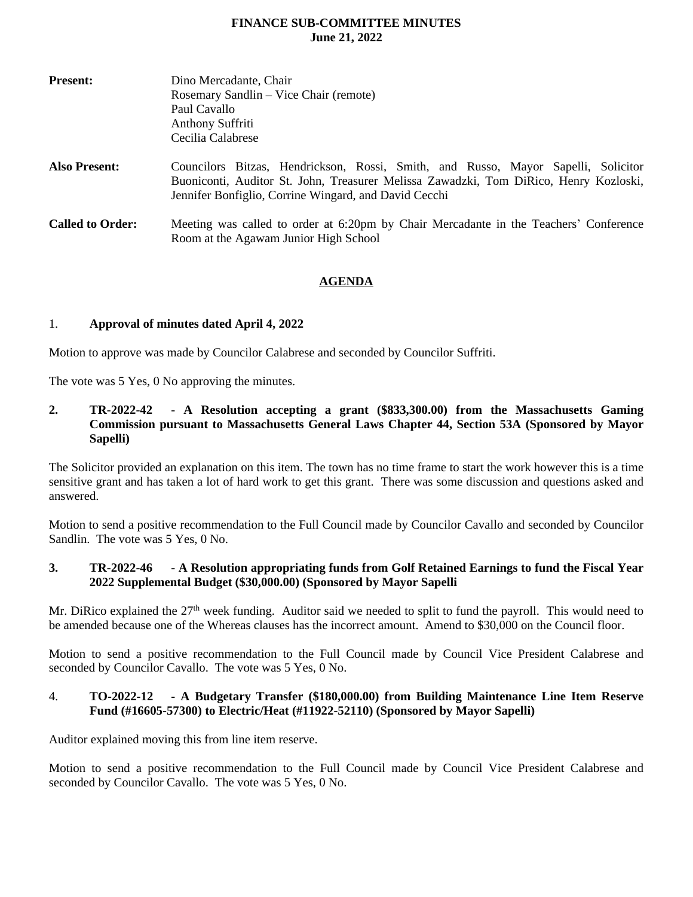# **FINANCE SUB-COMMITTEE MINUTES June 21, 2022**

| <b>Present:</b>         | Dino Mercadante, Chair<br>Rosemary Sandlin – Vice Chair (remote)<br>Paul Cavallo                                                                                                                                                    |  |  |  |
|-------------------------|-------------------------------------------------------------------------------------------------------------------------------------------------------------------------------------------------------------------------------------|--|--|--|
|                         |                                                                                                                                                                                                                                     |  |  |  |
|                         |                                                                                                                                                                                                                                     |  |  |  |
|                         | Anthony Suffriti                                                                                                                                                                                                                    |  |  |  |
|                         | Cecilia Calabrese                                                                                                                                                                                                                   |  |  |  |
| <b>Also Present:</b>    | Councilors Bitzas, Hendrickson, Rossi, Smith, and Russo, Mayor Sapelli, Solicitor<br>Buoniconti, Auditor St. John, Treasurer Melissa Zawadzki, Tom DiRico, Henry Kozloski,<br>Jennifer Bonfiglio, Corrine Wingard, and David Cecchi |  |  |  |
| <b>Called to Order:</b> | Meeting was called to order at 6:20pm by Chair Mercadante in the Teachers' Conference<br>Room at the Agawam Junior High School                                                                                                      |  |  |  |

## **AGENDA**

## 1. **Approval of minutes dated April 4, 2022**

Motion to approve was made by Councilor Calabrese and seconded by Councilor Suffriti.

The vote was 5 Yes, 0 No approving the minutes.

**2. TR-2022-42 - A Resolution accepting a grant (\$833,300.00) from the Massachusetts Gaming Commission pursuant to Massachusetts General Laws Chapter 44, Section 53A (Sponsored by Mayor Sapelli)**

The Solicitor provided an explanation on this item. The town has no time frame to start the work however this is a time sensitive grant and has taken a lot of hard work to get this grant. There was some discussion and questions asked and answered.

Motion to send a positive recommendation to the Full Council made by Councilor Cavallo and seconded by Councilor Sandlin. The vote was 5 Yes, 0 No.

## **3. TR-2022-46 - A Resolution appropriating funds from Golf Retained Earnings to fund the Fiscal Year 2022 Supplemental Budget (\$30,000.00) (Sponsored by Mayor Sapelli**

Mr. DiRico explained the 27<sup>th</sup> week funding. Auditor said we needed to split to fund the payroll. This would need to be amended because one of the Whereas clauses has the incorrect amount. Amend to \$30,000 on the Council floor.

Motion to send a positive recommendation to the Full Council made by Council Vice President Calabrese and seconded by Councilor Cavallo. The vote was 5 Yes, 0 No.

#### 4. **TO-2022-12 - A Budgetary Transfer (\$180,000.00) from Building Maintenance Line Item Reserve Fund (#16605-57300) to Electric/Heat (#11922-52110) (Sponsored by Mayor Sapelli)**

Auditor explained moving this from line item reserve.

Motion to send a positive recommendation to the Full Council made by Council Vice President Calabrese and seconded by Councilor Cavallo. The vote was 5 Yes, 0 No.